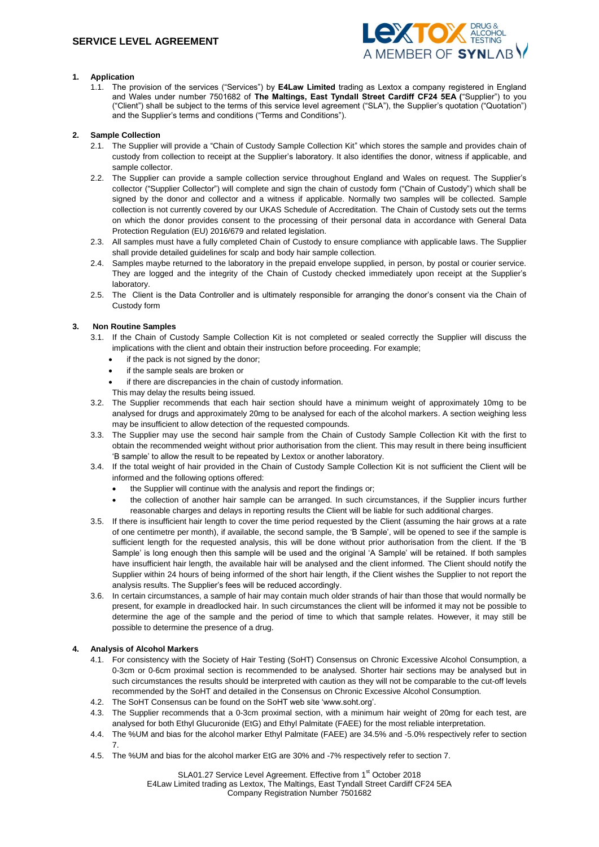

# **1. Application**

1.1. The provision of the services ("Services") by **E4Law Limited** trading as Lextox a company registered in England and Wales under number 7501682 of **The Maltings, East Tyndall Street Cardiff CF24 5EA (**"Supplier") to you ("Client") shall be subject to the terms of this service level agreement ("SLA"), the Supplier's quotation ("Quotation") and the Supplier's terms and conditions ("Terms and Conditions").

## **2. Sample Collection**

- 2.1. The Supplier will provide a "Chain of Custody Sample Collection Kit" which stores the sample and provides chain of custody from collection to receipt at the Supplier's laboratory. It also identifies the donor, witness if applicable, and sample collector.
- 2.2. The Supplier can provide a sample collection service throughout England and Wales on request. The Supplier's collector ("Supplier Collector") will complete and sign the chain of custody form ("Chain of Custody") which shall be signed by the donor and collector and a witness if applicable. Normally two samples will be collected. Sample collection is not currently covered by our UKAS Schedule of Accreditation. The Chain of Custody sets out the terms on which the donor provides consent to the processing of their personal data in accordance with General Data Protection Regulation (EU) 2016/679 and related legislation.
- 2.3. All samples must have a fully completed Chain of Custody to ensure compliance with applicable laws. The Supplier shall provide detailed guidelines for scalp and body hair sample collection.
- 2.4. Samples maybe returned to the laboratory in the prepaid envelope supplied, in person, by postal or courier service. They are logged and the integrity of the Chain of Custody checked immediately upon receipt at the Supplier's laboratory.
- 2.5. The Client is the Data Controller and is ultimately responsible for arranging the donor's consent via the Chain of Custody form

# **3. Non Routine Samples**

- 3.1. If the Chain of Custody Sample Collection Kit is not completed or sealed correctly the Supplier will discuss the implications with the client and obtain their instruction before proceeding. For example;
	- if the pack is not signed by the donor;
	- if the sample seals are broken or
	- if there are discrepancies in the chain of custody information.
	- This may delay the results being issued.
- 3.2. The Supplier recommends that each hair section should have a minimum weight of approximately 10mg to be analysed for drugs and approximately 20mg to be analysed for each of the alcohol markers. A section weighing less may be insufficient to allow detection of the requested compounds.
- 3.3. The Supplier may use the second hair sample from the Chain of Custody Sample Collection Kit with the first to obtain the recommended weight without prior authorisation from the client. This may result in there being insufficient 'B sample' to allow the result to be repeated by Lextox or another laboratory.
- 3.4. If the total weight of hair provided in the Chain of Custody Sample Collection Kit is not sufficient the Client will be informed and the following options offered:
	- the Supplier will continue with the analysis and report the findings or;
	- the collection of another hair sample can be arranged. In such circumstances, if the Supplier incurs further reasonable charges and delays in reporting results the Client will be liable for such additional charges.
- 3.5. If there is insufficient hair length to cover the time period requested by the Client (assuming the hair grows at a rate of one centimetre per month), if available, the second sample, the 'B Sample', will be opened to see if the sample is sufficient length for the requested analysis, this will be done without prior authorisation from the client. If the 'B Sample' is long enough then this sample will be used and the original 'A Sample' will be retained. If both samples have insufficient hair length, the available hair will be analysed and the client informed. The Client should notify the Supplier within 24 hours of being informed of the short hair length, if the Client wishes the Supplier to not report the analysis results. The Supplier's fees will be reduced accordingly.
- 3.6. In certain circumstances, a sample of hair may contain much older strands of hair than those that would normally be present, for example in dreadlocked hair. In such circumstances the client will be informed it may not be possible to determine the age of the sample and the period of time to which that sample relates. However, it may still be possible to determine the presence of a drug.

# **4. Analysis of Alcohol Markers**

- 4.1. For consistency with the Society of Hair Testing (SoHT) Consensus on Chronic Excessive Alcohol Consumption, a 0-3cm or 0-6cm proximal section is recommended to be analysed. Shorter hair sections may be analysed but in such circumstances the results should be interpreted with caution as they will not be comparable to the cut-off levels recommended by the SoHT and detailed in the Consensus on Chronic Excessive Alcohol Consumption.
- 4.2. The SoHT Consensus can be found on the SoHT web site 'www.soht.org'.
- 4.3. The Supplier recommends that a 0-3cm proximal section, with a minimum hair weight of 20mg for each test, are analysed for both Ethyl Glucuronide (EtG) and Ethyl Palmitate (FAEE) for the most reliable interpretation.
- 4.4. The %UM and bias for the alcohol marker Ethyl Palmitate (FAEE) are 34.5% and -5.0% respectively refer to section 7.
- 4.5. The %UM and bias for the alcohol marker EtG are 30% and -7% respectively refer to section 7.

SLA01.27 Service Level Agreement. Effective from 1<sup>st</sup> October 2018 E4Law Limited trading as Lextox, The Maltings, East Tyndall Street Cardiff CF24 5EA Company Registration Number 7501682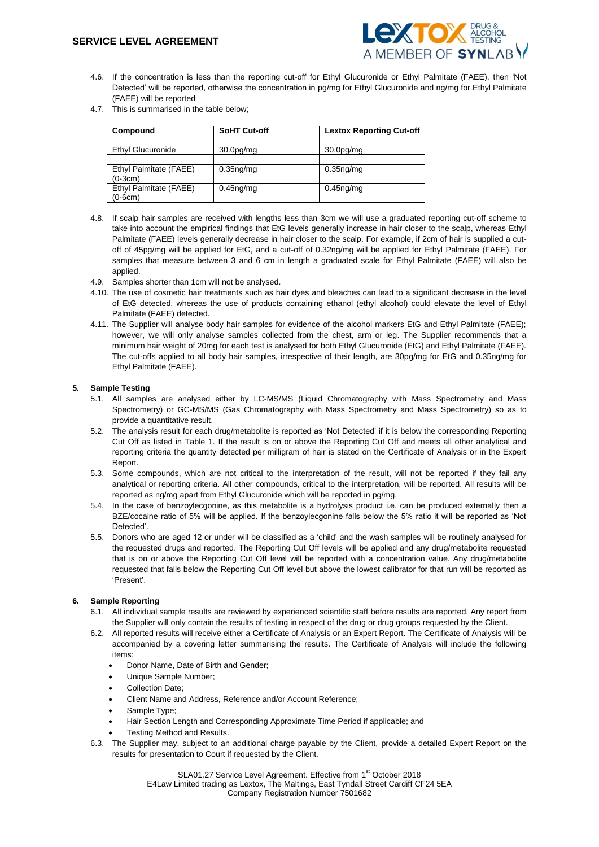

- 4.6. If the concentration is less than the reporting cut-off for Ethyl Glucuronide or Ethyl Palmitate (FAEE), then 'Not Detected' will be reported, otherwise the concentration in pg/mg for Ethyl Glucuronide and ng/mg for Ethyl Palmitate (FAEE) will be reported
- 4.7. This is summarised in the table below;

| Compound                            | <b>SoHT Cut-off</b>                | <b>Lextox Reporting Cut-off</b>    |
|-------------------------------------|------------------------------------|------------------------------------|
| Ethyl Glucuronide                   | 30.0 <sub>pg</sub> / <sub>mg</sub> | 30.0 <sub>pg</sub> / <sub>mg</sub> |
| Ethyl Palmitate (FAEE)<br>$(0-3cm)$ | $0.35ng$ /mg                       | $0.35ng$ /mg                       |
| Ethyl Palmitate (FAEE)<br>$(0-6cm)$ | $0.45$ ng/mg                       | $0.45$ ng/mg                       |

- 4.8. If scalp hair samples are received with lengths less than 3cm we will use a graduated reporting cut-off scheme to take into account the empirical findings that EtG levels generally increase in hair closer to the scalp, whereas Ethyl Palmitate (FAEE) levels generally decrease in hair closer to the scalp. For example, if 2cm of hair is supplied a cutoff of 45pg/mg will be applied for EtG, and a cut-off of 0.32ng/mg will be applied for Ethyl Palmitate (FAEE). For samples that measure between 3 and 6 cm in length a graduated scale for Ethyl Palmitate (FAEE) will also be applied.
- 4.9. Samples shorter than 1cm will not be analysed.
- 4.10. The use of cosmetic hair treatments such as hair dyes and bleaches can lead to a significant decrease in the level of EtG detected, whereas the use of products containing ethanol (ethyl alcohol) could elevate the level of Ethyl Palmitate (FAEE) detected.
- 4.11. The Supplier will analyse body hair samples for evidence of the alcohol markers EtG and Ethyl Palmitate (FAEE); however, we will only analyse samples collected from the chest, arm or leg. The Supplier recommends that a minimum hair weight of 20mg for each test is analysed for both Ethyl Glucuronide (EtG) and Ethyl Palmitate (FAEE). The cut-offs applied to all body hair samples, irrespective of their length, are 30pg/mg for EtG and 0.35ng/mg for Ethyl Palmitate (FAEE).

## **5. Sample Testing**

- 5.1. All samples are analysed either by LC-MS/MS (Liquid Chromatography with Mass Spectrometry and Mass Spectrometry) or GC-MS/MS (Gas Chromatography with Mass Spectrometry and Mass Spectrometry) so as to provide a quantitative result.
- 5.2. The analysis result for each drug/metabolite is reported as 'Not Detected' if it is below the corresponding Reporting Cut Off as listed in Table 1. If the result is on or above the Reporting Cut Off and meets all other analytical and reporting criteria the quantity detected per milligram of hair is stated on the Certificate of Analysis or in the Expert Report.
- 5.3. Some compounds, which are not critical to the interpretation of the result, will not be reported if they fail any analytical or reporting criteria. All other compounds, critical to the interpretation, will be reported. All results will be reported as ng/mg apart from Ethyl Glucuronide which will be reported in pg/mg.
- 5.4. In the case of benzoylecgonine, as this metabolite is a hydrolysis product i.e. can be produced externally then a BZE/cocaine ratio of 5% will be applied. If the benzoylecgonine falls below the 5% ratio it will be reported as 'Not Detected'.
- 5.5. Donors who are aged 12 or under will be classified as a 'child' and the wash samples will be routinely analysed for the requested drugs and reported. The Reporting Cut Off levels will be applied and any drug/metabolite requested that is on or above the Reporting Cut Off level will be reported with a concentration value. Any drug/metabolite requested that falls below the Reporting Cut Off level but above the lowest calibrator for that run will be reported as 'Present'.

## **6. Sample Reporting**

- 6.1. All individual sample results are reviewed by experienced scientific staff before results are reported. Any report from the Supplier will only contain the results of testing in respect of the drug or drug groups requested by the Client.
- 6.2. All reported results will receive either a Certificate of Analysis or an Expert Report. The Certificate of Analysis will be accompanied by a covering letter summarising the results. The Certificate of Analysis will include the following items:
	- Donor Name, Date of Birth and Gender;
	- Unique Sample Number;
	- Collection Date;
	- Client Name and Address, Reference and/or Account Reference;
	- Sample Type;
	- Hair Section Length and Corresponding Approximate Time Period if applicable; and
	- Testing Method and Results.
- 6.3. The Supplier may, subject to an additional charge payable by the Client, provide a detailed Expert Report on the results for presentation to Court if requested by the Client.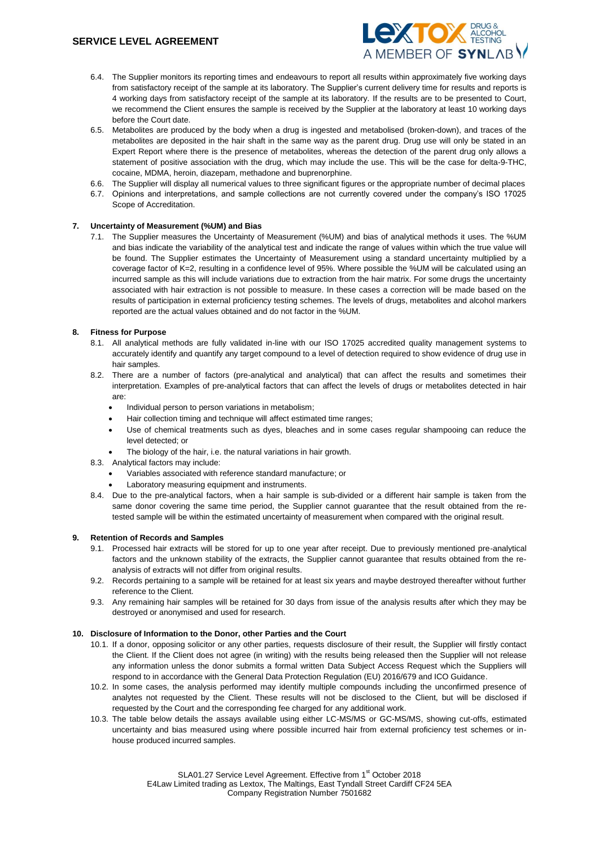

- 6.4. The Supplier monitors its reporting times and endeavours to report all results within approximately five working days from satisfactory receipt of the sample at its laboratory. The Supplier's current delivery time for results and reports is 4 working days from satisfactory receipt of the sample at its laboratory. If the results are to be presented to Court, we recommend the Client ensures the sample is received by the Supplier at the laboratory at least 10 working days before the Court date.
- 6.5. Metabolites are produced by the body when a drug is ingested and metabolised (broken-down), and traces of the metabolites are deposited in the hair shaft in the same way as the parent drug. Drug use will only be stated in an Expert Report where there is the presence of metabolites, whereas the detection of the parent drug only allows a statement of positive association with the drug, which may include the use. This will be the case for delta-9-THC, cocaine, MDMA, heroin, diazepam, methadone and buprenorphine.
- 6.6. The Supplier will display all numerical values to three significant figures or the appropriate number of decimal places
- 6.7. Opinions and interpretations, and sample collections are not currently covered under the company's ISO 17025 Scope of Accreditation.

## **7. Uncertainty of Measurement (%UM) and Bias**

7.1. The Supplier measures the Uncertainty of Measurement (%UM) and bias of analytical methods it uses. The %UM and bias indicate the variability of the analytical test and indicate the range of values within which the true value will be found. The Supplier estimates the Uncertainty of Measurement using a standard uncertainty multiplied by a coverage factor of K=2, resulting in a confidence level of 95%. Where possible the %UM will be calculated using an incurred sample as this will include variations due to extraction from the hair matrix. For some drugs the uncertainty associated with hair extraction is not possible to measure. In these cases a correction will be made based on the results of participation in external proficiency testing schemes. The levels of drugs, metabolites and alcohol markers reported are the actual values obtained and do not factor in the %UM.

## **8. Fitness for Purpose**

- 8.1. All analytical methods are fully validated in-line with our ISO 17025 accredited quality management systems to accurately identify and quantify any target compound to a level of detection required to show evidence of drug use in hair samples.
- 8.2. There are a number of factors (pre-analytical and analytical) that can affect the results and sometimes their interpretation. Examples of pre-analytical factors that can affect the levels of drugs or metabolites detected in hair are:
	- Individual person to person variations in metabolism;
	- Hair collection timing and technique will affect estimated time ranges;
	- Use of chemical treatments such as dyes, bleaches and in some cases regular shampooing can reduce the level detected; or
	- The biology of the hair, i.e. the natural variations in hair growth.
- 8.3. Analytical factors may include:
	- Variables associated with reference standard manufacture; or
	- Laboratory measuring equipment and instruments.
- 8.4. Due to the pre-analytical factors, when a hair sample is sub-divided or a different hair sample is taken from the same donor covering the same time period, the Supplier cannot quarantee that the result obtained from the retested sample will be within the estimated uncertainty of measurement when compared with the original result.

#### **9. Retention of Records and Samples**

- 9.1. Processed hair extracts will be stored for up to one year after receipt. Due to previously mentioned pre-analytical factors and the unknown stability of the extracts, the Supplier cannot quarantee that results obtained from the reanalysis of extracts will not differ from original results.
- 9.2. Records pertaining to a sample will be retained for at least six years and maybe destroyed thereafter without further reference to the Client.
- 9.3. Any remaining hair samples will be retained for 30 days from issue of the analysis results after which they may be destroyed or anonymised and used for research.

## **10. Disclosure of Information to the Donor, other Parties and the Court**

- 10.1. If a donor, opposing solicitor or any other parties, requests disclosure of their result, the Supplier will firstly contact the Client. If the Client does not agree (in writing) with the results being released then the Supplier will not release any information unless the donor submits a formal written Data Subject Access Request which the Suppliers will respond to in accordance with the General Data Protection Regulation (EU) 2016/679 and ICO Guidance.
- 10.2. In some cases, the analysis performed may identify multiple compounds including the unconfirmed presence of analytes not requested by the Client. These results will not be disclosed to the Client, but will be disclosed if requested by the Court and the corresponding fee charged for any additional work.
- 10.3. The table below details the assays available using either LC-MS/MS or GC-MS/MS, showing cut-offs, estimated uncertainty and bias measured using where possible incurred hair from external proficiency test schemes or inhouse produced incurred samples.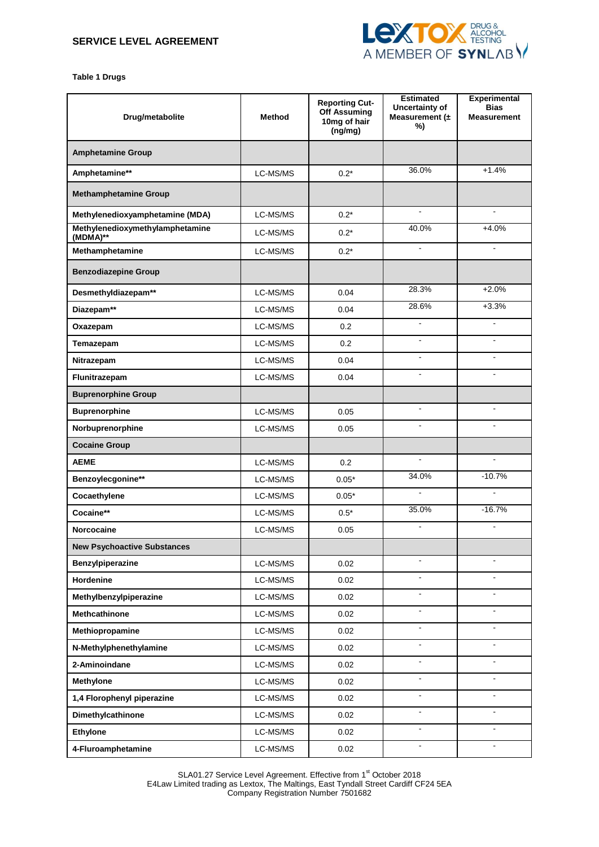

**Table 1 Drugs**

| Drug/metabolite                             | <b>Method</b> | <b>Reporting Cut-</b><br>Off Assuming<br>10mg of hair<br>(ng/mg) | <b>Estimated</b><br>Uncertainty of<br>Measurement $(±$<br>%) | Experimental<br><b>Bias</b><br><b>Measurement</b> |
|---------------------------------------------|---------------|------------------------------------------------------------------|--------------------------------------------------------------|---------------------------------------------------|
| <b>Amphetamine Group</b>                    |               |                                                                  |                                                              |                                                   |
| Amphetamine**                               | LC-MS/MS      | $0.2*$                                                           | 36.0%                                                        | $+1.4%$                                           |
| <b>Methamphetamine Group</b>                |               |                                                                  |                                                              |                                                   |
| Methylenedioxyamphetamine (MDA)             | LC-MS/MS      | $0.2*$                                                           | $\mathbf{r}$                                                 | $\blacksquare$                                    |
| Methylenedioxymethylamphetamine<br>(MDMA)** | LC-MS/MS      | $0.2*$                                                           | 40.0%                                                        | $+4.0%$                                           |
| Methamphetamine                             | LC-MS/MS      | $0.2*$                                                           | $\blacksquare$                                               | $\blacksquare$                                    |
| <b>Benzodiazepine Group</b>                 |               |                                                                  |                                                              |                                                   |
| Desmethyldiazepam**                         | LC-MS/MS      | 0.04                                                             | 28.3%                                                        | $+2.0%$                                           |
| Diazepam**                                  | LC-MS/MS      | 0.04                                                             | 28.6%                                                        | $+3.3%$                                           |
| Oxazepam                                    | LC-MS/MS      | 0.2 <sub>0</sub>                                                 |                                                              |                                                   |
| Temazepam                                   | LC-MS/MS      | 0.2                                                              | $\blacksquare$                                               | $\overline{\phantom{a}}$                          |
| Nitrazepam                                  | LC-MS/MS      | 0.04                                                             | $\blacksquare$                                               | $\blacksquare$                                    |
| Flunitrazepam                               | LC-MS/MS      | 0.04                                                             | $\mathbf{r}$                                                 | $\mathbf{r}$                                      |
| <b>Buprenorphine Group</b>                  |               |                                                                  |                                                              |                                                   |
| <b>Buprenorphine</b>                        | LC-MS/MS      | 0.05                                                             | $\blacksquare$                                               | $\mathbf{r}$                                      |
| Norbuprenorphine                            | LC-MS/MS      | 0.05                                                             | $\blacksquare$                                               | $\blacksquare$                                    |
| <b>Cocaine Group</b>                        |               |                                                                  |                                                              |                                                   |
| <b>AEME</b>                                 | LC-MS/MS      | 0.2                                                              | $\mathbf{r}$                                                 | $\blacksquare$                                    |
| Benzoylecgonine**                           | LC-MS/MS      | $0.05*$                                                          | 34.0%                                                        | $-10.7%$                                          |
| Cocaethylene                                | LC-MS/MS      | $0.05*$                                                          | $\blacksquare$                                               | $\blacksquare$                                    |
| Cocaine**                                   | LC-MS/MS      | $0.5*$                                                           | 35.0%                                                        | $-16.7%$                                          |
| <b>Norcocaine</b>                           | LC-MS/MS      | 0.05                                                             | $\blacksquare$                                               | $\mathbf{r}$                                      |
| <b>New Psychoactive Substances</b>          |               |                                                                  |                                                              |                                                   |
| Benzylpiperazine                            | LC-MS/MS      | 0.02                                                             | $\blacksquare$                                               | $\blacksquare$                                    |
| Hordenine                                   | LC-MS/MS      | 0.02                                                             | $\blacksquare$                                               | $\sim$                                            |
| Methylbenzylpiperazine                      | LC-MS/MS      | 0.02                                                             | $\blacksquare$                                               | $\blacksquare$                                    |
| Methcathinone                               | LC-MS/MS      | 0.02                                                             | $\blacksquare$                                               | $\blacksquare$                                    |
| Methiopropamine                             | LC-MS/MS      | 0.02                                                             | $\blacksquare$                                               | $\blacksquare$                                    |
| N-Methylphenethylamine                      | LC-MS/MS      | 0.02                                                             | $\blacksquare$                                               | $\blacksquare$                                    |
| 2-Aminoindane                               | LC-MS/MS      | 0.02                                                             | $\blacksquare$                                               | $\blacksquare$                                    |
| <b>Methylone</b>                            | LC-MS/MS      | 0.02                                                             | $\blacksquare$                                               | $\blacksquare$                                    |
| 1,4 Florophenyl piperazine                  | LC-MS/MS      | 0.02                                                             | $\omega$                                                     | $\blacksquare$                                    |
| Dimethylcathinone                           | LC-MS/MS      | 0.02                                                             | $\blacksquare$                                               | $\blacksquare$                                    |
| Ethylone                                    | LC-MS/MS      | 0.02                                                             | $\blacksquare$                                               | $\blacksquare$                                    |
| 4-Fluroamphetamine                          | LC-MS/MS      | 0.02                                                             | $\blacksquare$                                               | $\blacksquare$                                    |

SLA01.27 Service Level Agreement. Effective from 1<sup>st</sup> October 2018 E4Law Limited trading as Lextox, The Maltings, East Tyndall Street Cardiff CF24 5EA Company Registration Number 7501682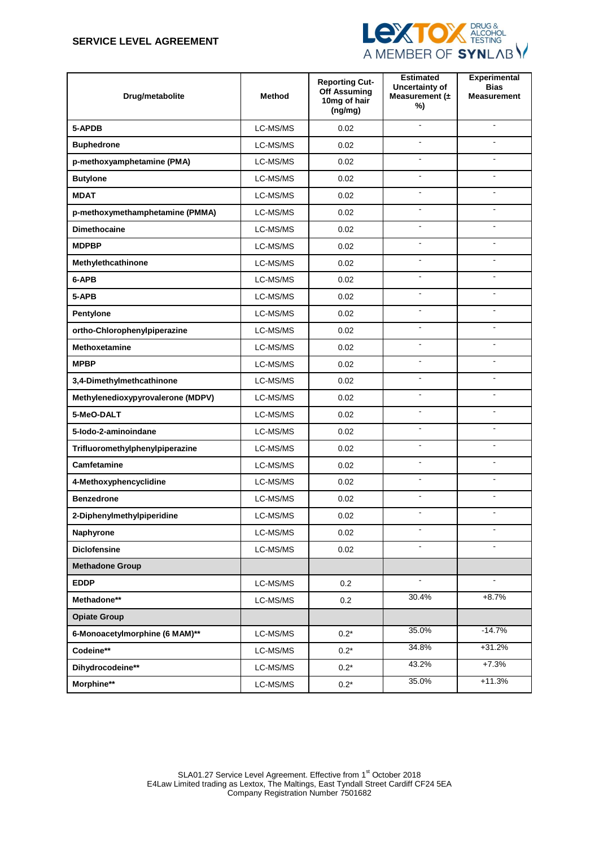# **SERVICE LEVEL AGREEMENT**



| Drug/metabolite                   | <b>Method</b> | <b>Reporting Cut-</b><br><b>Off Assuming</b><br>10mg of hair<br>(ng/mg) | <b>Estimated</b><br>Uncertainty of<br>Measurement $(±$<br>%) | <b>Experimental</b><br><b>Bias</b><br><b>Measurement</b> |
|-----------------------------------|---------------|-------------------------------------------------------------------------|--------------------------------------------------------------|----------------------------------------------------------|
| 5-APDB                            | LC-MS/MS      | 0.02                                                                    | $\blacksquare$                                               | $\blacksquare$                                           |
| <b>Buphedrone</b>                 | LC-MS/MS      | 0.02                                                                    |                                                              |                                                          |
| p-methoxyamphetamine (PMA)        | LC-MS/MS      | 0.02                                                                    |                                                              |                                                          |
| <b>Butylone</b>                   | LC-MS/MS      | 0.02                                                                    | $\blacksquare$                                               | ÷.                                                       |
| <b>MDAT</b>                       | LC-MS/MS      | 0.02                                                                    | $\blacksquare$                                               | $\blacksquare$                                           |
| p-methoxymethamphetamine (PMMA)   | LC-MS/MS      | 0.02                                                                    | ÷,                                                           | $\overline{a}$                                           |
| <b>Dimethocaine</b>               | LC-MS/MS      | 0.02                                                                    |                                                              |                                                          |
| <b>MDPBP</b>                      | LC-MS/MS      | 0.02                                                                    | $\blacksquare$                                               |                                                          |
| Methylethcathinone                | LC-MS/MS      | 0.02                                                                    | $\blacksquare$                                               | $\overline{a}$                                           |
| 6-APB                             | LC-MS/MS      | 0.02                                                                    | $\overline{a}$                                               | $\overline{a}$                                           |
| 5-APB                             | LC-MS/MS      | 0.02                                                                    | $\blacksquare$                                               | $\blacksquare$                                           |
| Pentylone                         | LC-MS/MS      | 0.02                                                                    | ÷,                                                           | $\overline{a}$                                           |
| ortho-Chlorophenylpiperazine      | LC-MS/MS      | 0.02                                                                    | ä,                                                           | $\overline{a}$                                           |
| <b>Methoxetamine</b>              | LC-MS/MS      | 0.02                                                                    | $\blacksquare$                                               | $\blacksquare$                                           |
| <b>MPBP</b>                       | LC-MS/MS      | 0.02                                                                    | $\blacksquare$                                               | $\overline{a}$                                           |
| 3,4-Dimethylmethcathinone         | LC-MS/MS      | 0.02                                                                    | ÷                                                            | ÷                                                        |
| Methylenedioxypyrovalerone (MDPV) | LC-MS/MS      | 0.02                                                                    |                                                              |                                                          |
| 5-MeO-DALT                        | LC-MS/MS      | 0.02                                                                    | ÷,                                                           | $\overline{a}$                                           |
| 5-lodo-2-aminoindane              | LC-MS/MS      | 0.02                                                                    | $\blacksquare$                                               | ÷                                                        |
| Trifluoromethylphenylpiperazine   | LC-MS/MS      | 0.02                                                                    | $\blacksquare$                                               | $\blacksquare$                                           |
| Camfetamine                       | LC-MS/MS      | 0.02                                                                    | ÷                                                            |                                                          |
| 4-Methoxyphencyclidine            | LC-MS/MS      | 0.02                                                                    | $\overline{a}$                                               | $\overline{a}$                                           |
| <b>Benzedrone</b>                 | LC-MS/MS      | 0.02                                                                    | $\blacksquare$                                               | $\blacksquare$                                           |
| 2-Diphenylmethylpiperidine        | LC-MS/MS      | 0.02                                                                    | $\blacksquare$                                               | $\blacksquare$                                           |
| Naphyrone                         | LC-MS/MS      | 0.02                                                                    |                                                              |                                                          |
| <b>Diclofensine</b>               | LC-MS/MS      | 0.02                                                                    |                                                              |                                                          |
| <b>Methadone Group</b>            |               |                                                                         |                                                              |                                                          |
| <b>EDDP</b>                       | LC-MS/MS      | 0.2                                                                     | $\omega$                                                     | $\mathbf{r}$                                             |
| Methadone**                       | LC-MS/MS      | 0.2                                                                     | 30.4%                                                        | $+8.7%$                                                  |
| <b>Opiate Group</b>               |               |                                                                         |                                                              |                                                          |
| 6-Monoacetylmorphine (6 MAM)**    | LC-MS/MS      | $0.2*$                                                                  | 35.0%                                                        | $-14.7%$                                                 |
| Codeine**                         | LC-MS/MS      | $0.2*$                                                                  | 34.8%                                                        | $+31.2%$                                                 |
| Dihydrocodeine**                  | LC-MS/MS      | $0.2*$                                                                  | 43.2%                                                        | $+7.3%$                                                  |
| Morphine**                        | LC-MS/MS      | $0.2^{\star}$                                                           | 35.0%                                                        | $+11.3%$                                                 |